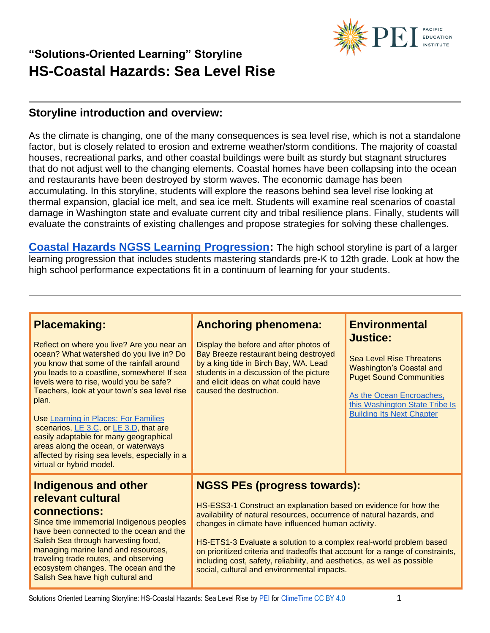

#### **Storyline introduction and overview:**

As the climate is changing, one of the many consequences is sea level rise, which is not a standalone factor, but is closely related to erosion and extreme weather/storm conditions. The majority of coastal houses, recreational parks, and other coastal buildings were built as sturdy but stagnant structures that do not adjust well to the changing elements. Coastal homes have been collapsing into the ocean and restaurants have been destroyed by storm waves. The economic damage has been accumulating. In this storyline, students will explore the reasons behind sea level rise looking at thermal expansion, glacial ice melt, and sea ice melt. Students will examine real scenarios of coastal damage in Washington state and evaluate current city and tribal resilience plans. Finally, students will evaluate the constraints of existing challenges and propose strategies for solving these challenges.

**[Coastal Hazards NGSS Learning Progression:](https://pacificeductioninstitute.sharepoint.com/:x:/s/Program/Ectwt0BNEIZJp8v5VrB2Hu4Blxk6i2b6Kx9MkofojSim7g?e=sXwg5b)** The high school storyline is part of a larger learning progression that includes students mastering standards pre-K to 12th grade. Look at how the high school performance expectations fit in a continuum of learning for your students.

| <b>Placemaking:</b><br>Reflect on where you live? Are you near an<br>ocean? What watershed do you live in? Do<br>you know that some of the rainfall around<br>you leads to a coastline, somewhere! If sea<br>levels were to rise, would you be safe?<br>Teachers, look at your town's sea level rise<br>plan.<br>Use Learning in Places: For Families<br>scenarios, LE 3.C, or LE 3.D, that are<br>easily adaptable for many geographical<br>areas along the ocean, or waterways<br>affected by rising sea levels, especially in a<br>virtual or hybrid model. | <b>Anchoring phenomena:</b><br>Display the before and after photos of<br>Bay Breeze restaurant being destroyed<br>by a king tide in Birch Bay, WA. Lead<br>students in a discussion of the picture<br>and elicit ideas on what could have<br>caused the destruction.                                                                                                                                                                                                                                                       | <b>Environmental</b><br><b>Justice:</b><br><b>Sea Level Rise Threatens</b><br><b>Washington's Coastal and</b><br><b>Puget Sound Communities</b><br>As the Ocean Encroaches,<br>this Washington State Tribe Is<br><b>Building Its Next Chapter</b> |
|----------------------------------------------------------------------------------------------------------------------------------------------------------------------------------------------------------------------------------------------------------------------------------------------------------------------------------------------------------------------------------------------------------------------------------------------------------------------------------------------------------------------------------------------------------------|----------------------------------------------------------------------------------------------------------------------------------------------------------------------------------------------------------------------------------------------------------------------------------------------------------------------------------------------------------------------------------------------------------------------------------------------------------------------------------------------------------------------------|---------------------------------------------------------------------------------------------------------------------------------------------------------------------------------------------------------------------------------------------------|
| <b>Indigenous and other</b><br>relevant cultural<br>connections:<br>Since time immemorial Indigenous peoples<br>have been connected to the ocean and the<br>Salish Sea through harvesting food,<br>managing marine land and resources,<br>traveling trade routes, and observing<br>ecosystem changes. The ocean and the<br>Salish Sea have high cultural and                                                                                                                                                                                                   | <b>NGSS PEs (progress towards):</b><br>HS-ESS3-1 Construct an explanation based on evidence for how the<br>availability of natural resources, occurrence of natural hazards, and<br>changes in climate have influenced human activity.<br>HS-ETS1-3 Evaluate a solution to a complex real-world problem based<br>on prioritized criteria and tradeoffs that account for a range of constraints,<br>including cost, safety, reliability, and aesthetics, as well as possible<br>social, cultural and environmental impacts. |                                                                                                                                                                                                                                                   |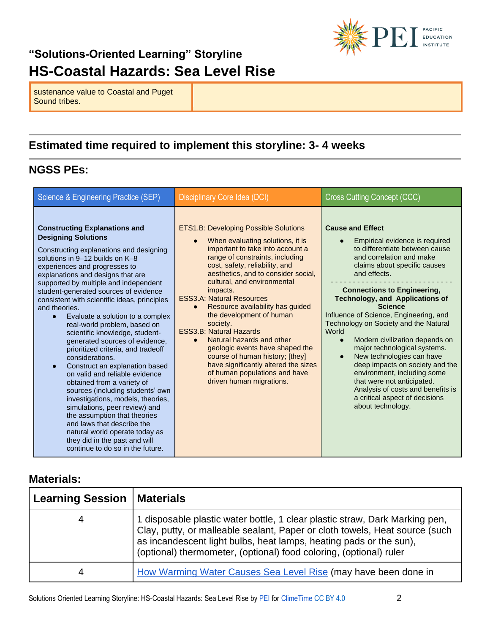

sustenance value to Coastal and Puget Sound tribes.

#### **Estimated time required to implement this storyline: 3- 4 weeks**

#### **NGSS PEs:**

| Science & Engineering Practice (SEP)                                                                                                                                                                                                                                                                                                                                                                                                                                                                                                                                                                                                                                                                                                                                                                                                                                                                                                                                                  | Disciplinary Core Idea (DCI)                                                                                                                                                                                                                                                                                                                                                                                                                                                                                                                                                                                                          | Cross Cutting Concept (CCC)                                                                                                                                                                                                                                                                                                                                                                                                                                                                                                                                                                                                                                                                |
|---------------------------------------------------------------------------------------------------------------------------------------------------------------------------------------------------------------------------------------------------------------------------------------------------------------------------------------------------------------------------------------------------------------------------------------------------------------------------------------------------------------------------------------------------------------------------------------------------------------------------------------------------------------------------------------------------------------------------------------------------------------------------------------------------------------------------------------------------------------------------------------------------------------------------------------------------------------------------------------|---------------------------------------------------------------------------------------------------------------------------------------------------------------------------------------------------------------------------------------------------------------------------------------------------------------------------------------------------------------------------------------------------------------------------------------------------------------------------------------------------------------------------------------------------------------------------------------------------------------------------------------|--------------------------------------------------------------------------------------------------------------------------------------------------------------------------------------------------------------------------------------------------------------------------------------------------------------------------------------------------------------------------------------------------------------------------------------------------------------------------------------------------------------------------------------------------------------------------------------------------------------------------------------------------------------------------------------------|
| <b>Constructing Explanations and</b><br><b>Designing Solutions</b><br>Constructing explanations and designing<br>solutions in 9-12 builds on K-8<br>experiences and progresses to<br>explanations and designs that are<br>supported by multiple and independent<br>student-generated sources of evidence<br>consistent with scientific ideas, principles<br>and theories.<br>Evaluate a solution to a complex<br>$\bullet$<br>real-world problem, based on<br>scientific knowledge, student-<br>generated sources of evidence,<br>prioritized criteria, and tradeoff<br>considerations.<br>Construct an explanation based<br>$\bullet$<br>on valid and reliable evidence<br>obtained from a variety of<br>sources (including students' own<br>investigations, models, theories,<br>simulations, peer review) and<br>the assumption that theories<br>and laws that describe the<br>natural world operate today as<br>they did in the past and will<br>continue to do so in the future. | <b>ETS1.B: Developing Possible Solutions</b><br>When evaluating solutions, it is<br>important to take into account a<br>range of constraints, including<br>cost, safety, reliability, and<br>aesthetics, and to consider social,<br>cultural, and environmental<br>impacts.<br><b>ESS3.A: Natural Resources</b><br>Resource availability has guided<br>the development of human<br>society.<br><b>ESS3.B: Natural Hazards</b><br>Natural hazards and other<br>geologic events have shaped the<br>course of human history; [they]<br>have significantly altered the sizes<br>of human populations and have<br>driven human migrations. | <b>Cause and Effect</b><br>Empirical evidence is required<br>to differentiate between cause<br>and correlation and make<br>claims about specific causes<br>and effects.<br><b>Connections to Engineering,</b><br><b>Technology, and Applications of</b><br><b>Science</b><br>Influence of Science, Engineering, and<br>Technology on Society and the Natural<br>World<br>Modern civilization depends on<br>$\bullet$<br>major technological systems.<br>New technologies can have<br>$\bullet$<br>deep impacts on society and the<br>environment, including some<br>that were not anticipated.<br>Analysis of costs and benefits is<br>a critical aspect of decisions<br>about technology. |

#### **Materials:**

| <b>Learning Session</b> | <b>Materials</b>                                                                                                                                                                                                                                                                                       |
|-------------------------|--------------------------------------------------------------------------------------------------------------------------------------------------------------------------------------------------------------------------------------------------------------------------------------------------------|
| 4                       | 1 disposable plastic water bottle, 1 clear plastic straw, Dark Marking pen,<br>Clay, putty, or malleable sealant, Paper or cloth towels, Heat source (such<br>as incandescent light bulbs, heat lamps, heating pads or the sun),<br>(optional) thermometer, (optional) food coloring, (optional) ruler |
| 4                       | How Warming Water Causes Sea Level Rise (may have been done in                                                                                                                                                                                                                                         |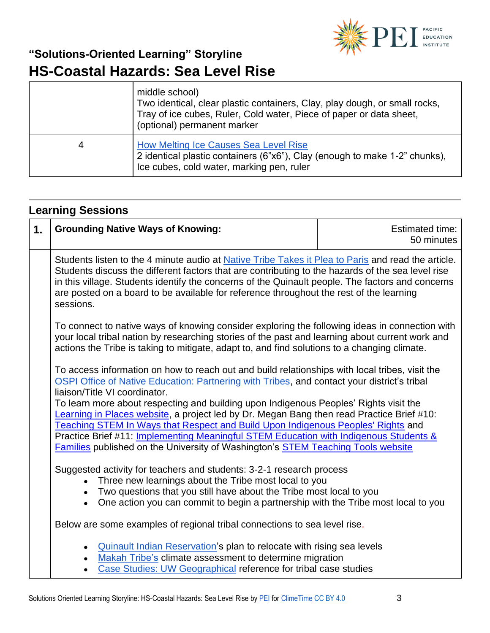

|   | middle school)<br>Two identical, clear plastic containers, Clay, play dough, or small rocks,<br>Tray of ice cubes, Ruler, Cold water, Piece of paper or data sheet,<br>(optional) permanent marker |
|---|----------------------------------------------------------------------------------------------------------------------------------------------------------------------------------------------------|
| 4 | <b>How Melting Ice Causes Sea Level Rise</b><br>2 identical plastic containers (6"x6"), Clay (enough to make 1-2" chunks),<br>Ice cubes, cold water, marking pen, ruler                            |

# **Learning Sessions**

| 1.                                                                                                                                                                                                                                                                                                                                                                                                                                                                                                                                                                                                                                                                                           | <b>Grounding Native Ways of Knowing:</b>                                                                                                                                                                                                                                                                                                                                                                            | <b>Estimated time:</b><br>50 minutes |
|----------------------------------------------------------------------------------------------------------------------------------------------------------------------------------------------------------------------------------------------------------------------------------------------------------------------------------------------------------------------------------------------------------------------------------------------------------------------------------------------------------------------------------------------------------------------------------------------------------------------------------------------------------------------------------------------|---------------------------------------------------------------------------------------------------------------------------------------------------------------------------------------------------------------------------------------------------------------------------------------------------------------------------------------------------------------------------------------------------------------------|--------------------------------------|
|                                                                                                                                                                                                                                                                                                                                                                                                                                                                                                                                                                                                                                                                                              | Students listen to the 4 minute audio at Native Tribe Takes it Plea to Paris and read the article.<br>Students discuss the different factors that are contributing to the hazards of the sea level rise<br>in this village. Students identify the concerns of the Quinault people. The factors and concerns<br>are posted on a board to be available for reference throughout the rest of the learning<br>sessions. |                                      |
|                                                                                                                                                                                                                                                                                                                                                                                                                                                                                                                                                                                                                                                                                              | To connect to native ways of knowing consider exploring the following ideas in connection with<br>your local tribal nation by researching stories of the past and learning about current work and<br>actions the Tribe is taking to mitigate, adapt to, and find solutions to a changing climate.                                                                                                                   |                                      |
| To access information on how to reach out and build relationships with local tribes, visit the<br>OSPI Office of Native Education: Partnering with Tribes, and contact your district's tribal<br>liaison/Title VI coordinator.<br>To learn more about respecting and building upon Indigenous Peoples' Rights visit the<br>Learning in Places website, a project led by Dr. Megan Bang then read Practice Brief #10:<br>Teaching STEM In Ways that Respect and Build Upon Indigenous Peoples' Rights and<br>Practice Brief #11: Implementing Meaningful STEM Education with Indigenous Students &<br><b>Families published on the University of Washington's STEM Teaching Tools website</b> |                                                                                                                                                                                                                                                                                                                                                                                                                     |                                      |
|                                                                                                                                                                                                                                                                                                                                                                                                                                                                                                                                                                                                                                                                                              | Suggested activity for teachers and students: 3-2-1 research process<br>Three new learnings about the Tribe most local to you<br>Two questions that you still have about the Tribe most local to you<br>One action you can commit to begin a partnership with the Tribe most local to you                                                                                                                           |                                      |
|                                                                                                                                                                                                                                                                                                                                                                                                                                                                                                                                                                                                                                                                                              | Below are some examples of regional tribal connections to sea level rise.                                                                                                                                                                                                                                                                                                                                           |                                      |
|                                                                                                                                                                                                                                                                                                                                                                                                                                                                                                                                                                                                                                                                                              | <b>Quinault Indian Reservation's plan to relocate with rising sea levels</b><br>Makah Tribe's climate assessment to determine migration<br>Case Studies: UW Geographical reference for tribal case studies                                                                                                                                                                                                          |                                      |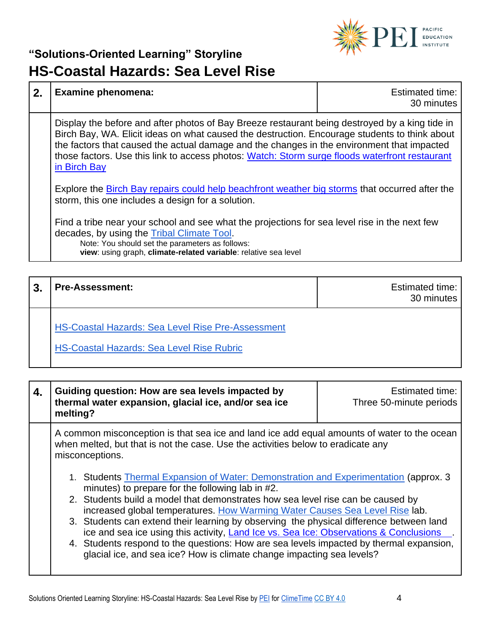

| 2.                                                                                                                                                                                                                                                                                                                                                                                                              | <b>Examine phenomena:</b>                                                                                                                                                                                                                                         | Estimated time:<br>30 minutes |
|-----------------------------------------------------------------------------------------------------------------------------------------------------------------------------------------------------------------------------------------------------------------------------------------------------------------------------------------------------------------------------------------------------------------|-------------------------------------------------------------------------------------------------------------------------------------------------------------------------------------------------------------------------------------------------------------------|-------------------------------|
| Display the before and after photos of Bay Breeze restaurant being destroyed by a king tide in<br>Birch Bay, WA. Elicit ideas on what caused the destruction. Encourage students to think about<br>the factors that caused the actual damage and the changes in the environment that impacted<br>those factors. Use this link to access photos: Watch: Storm surge floods waterfront restaurant<br>in Birch Bay |                                                                                                                                                                                                                                                                   |                               |
|                                                                                                                                                                                                                                                                                                                                                                                                                 | Explore the Birch Bay repairs could help beachfront weather big storms that occurred after the<br>storm, this one includes a design for a solution.                                                                                                               |                               |
|                                                                                                                                                                                                                                                                                                                                                                                                                 | Find a tribe near your school and see what the projections for sea level rise in the next few<br>decades, by using the Tribal Climate Tool.<br>Note: You should set the parameters as follows:<br>view: using graph, climate-related variable: relative sea level |                               |

| 3. | <b>Pre-Assessment:</b>                                   | <b>Estimated time:</b><br>30 minutes |
|----|----------------------------------------------------------|--------------------------------------|
|    | <b>HS-Coastal Hazards: Sea Level Rise Pre-Assessment</b> |                                      |

[HS-Coastal Hazards: Sea Level Rise Rubric](https://pacificeductioninstitute.sharepoint.com/:w:/s/Program/EdT0yX_ongtAhekQxYYvXusBno_XKI3mS7iealnnFLU-uA?e=Q0YDW3)

| 4. | Guiding question: How are sea levels impacted by<br>thermal water expansion, glacial ice, and/or sea ice<br>melting?                                                                                                                                                                                                                                                                                                                                                                                                                                                                                                                                               | <b>Estimated time:</b><br>Three 50-minute periods |
|----|--------------------------------------------------------------------------------------------------------------------------------------------------------------------------------------------------------------------------------------------------------------------------------------------------------------------------------------------------------------------------------------------------------------------------------------------------------------------------------------------------------------------------------------------------------------------------------------------------------------------------------------------------------------------|---------------------------------------------------|
|    | A common misconception is that sea ice and land ice add equal amounts of water to the ocean<br>when melted, but that is not the case. Use the activities below to eradicate any<br>misconceptions.                                                                                                                                                                                                                                                                                                                                                                                                                                                                 |                                                   |
|    | 1. Students Thermal Expansion of Water: Demonstration and Experimentation (approx. 3<br>minutes) to prepare for the following lab in #2.<br>2. Students build a model that demonstrates how sea level rise can be caused by<br>increased global temperatures. How Warming Water Causes Sea Level Rise lab.<br>3. Students can extend their learning by observing the physical difference between land<br>ice and sea ice using this activity, Land Ice vs. Sea Ice: Observations & Conclusions<br>4. Students respond to the questions: How are sea levels impacted by thermal expansion,<br>glacial ice, and sea ice? How is climate change impacting sea levels? |                                                   |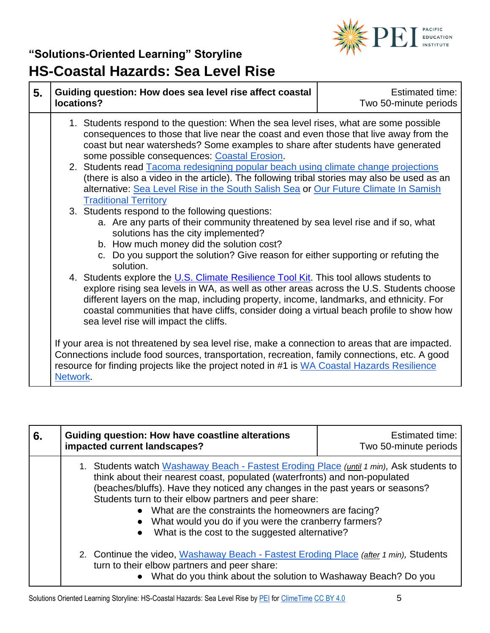

| 5. | Guiding question: How does sea level rise affect coastal<br>locations?                                                                                                                                                                                                                                                                                                                                            | Estimated time:<br>Two 50-minute periods |
|----|-------------------------------------------------------------------------------------------------------------------------------------------------------------------------------------------------------------------------------------------------------------------------------------------------------------------------------------------------------------------------------------------------------------------|------------------------------------------|
|    | 1. Students respond to the question: When the sea level rises, what are some possible<br>consequences to those that live near the coast and even those that live away from the<br>coast but near watersheds? Some examples to share after students have generated<br>some possible consequences: Coastal Erosion.                                                                                                 |                                          |
|    | 2. Students read Tacoma redesigning popular beach using climate change projections<br>(there is also a video in the article). The following tribal stories may also be used as an<br>alternative: Sea Level Rise in the South Salish Sea or Our Future Climate In Samish<br><b>Traditional Territory</b>                                                                                                          |                                          |
|    | 3. Students respond to the following questions:<br>a. Are any parts of their community threatened by sea level rise and if so, what<br>solutions has the city implemented?<br>b. How much money did the solution cost?<br>c. Do you support the solution? Give reason for either supporting or refuting the<br>solution.                                                                                          |                                          |
|    | 4. Students explore the U.S. Climate Resilience Tool Kit. This tool allows students to<br>explore rising sea levels in WA, as well as other areas across the U.S. Students choose<br>different layers on the map, including property, income, landmarks, and ethnicity. For<br>coastal communities that have cliffs, consider doing a virtual beach profile to show how<br>sea level rise will impact the cliffs. |                                          |
|    | If your area is not threatened by sea level rise, make a connection to areas that are impacted.<br>Connections include food sources, transportation, recreation, family connections, etc. A good<br>resource for finding projects like the project noted in #1 is WA Coastal Hazards Resilience<br>Network.                                                                                                       |                                          |

| 6. | Guiding question: How have coastline alterations<br>impacted current landscapes?                                                                                                                                                                                                                                                                                                                                                                                                       | <b>Estimated time:</b><br>Two 50-minute periods |
|----|----------------------------------------------------------------------------------------------------------------------------------------------------------------------------------------------------------------------------------------------------------------------------------------------------------------------------------------------------------------------------------------------------------------------------------------------------------------------------------------|-------------------------------------------------|
|    | 1. Students watch Washaway Beach - Fastest Eroding Place (until 1 min), Ask students to<br>think about their nearest coast, populated (waterfronts) and non-populated<br>(beaches/bluffs). Have they noticed any changes in the past years or seasons?<br>Students turn to their elbow partners and peer share:<br>• What are the constraints the homeowners are facing?<br>• What would you do if you were the cranberry farmers?<br>• What is the cost to the suggested alternative? |                                                 |
|    | 2. Continue the video, Washaway Beach - Fastest Eroding Place (after 1 min), Students<br>turn to their elbow partners and peer share:<br>• What do you think about the solution to Washaway Beach? Do you                                                                                                                                                                                                                                                                              |                                                 |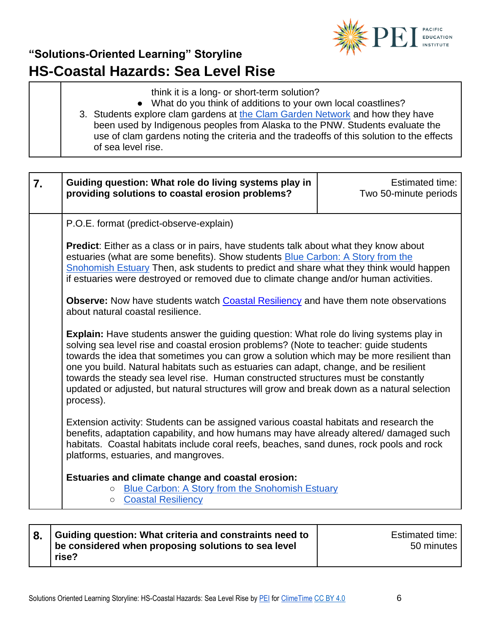

- think it is a long- or short-term solution?
- What do you think of additions to your own local coastlines?
- 3. Students explore clam gardens at [the Clam Garden Network](https://clamgarden.com/) and how they have been used by Indigenous peoples from Alaska to the PNW. Students evaluate the use of clam gardens noting the criteria and the tradeoffs of this solution to the effects of sea level rise.

| 7. | Guiding question: What role do living systems play in<br>providing solutions to coastal erosion problems?                                                                                                                                                                                                                                                                                                                                                                                                                                                                      | <b>Estimated time:</b><br>Two 50-minute periods |
|----|--------------------------------------------------------------------------------------------------------------------------------------------------------------------------------------------------------------------------------------------------------------------------------------------------------------------------------------------------------------------------------------------------------------------------------------------------------------------------------------------------------------------------------------------------------------------------------|-------------------------------------------------|
|    | P.O.E. format (predict-observe-explain)                                                                                                                                                                                                                                                                                                                                                                                                                                                                                                                                        |                                                 |
|    | <b>Predict:</b> Either as a class or in pairs, have students talk about what they know about<br>estuaries (what are some benefits). Show students <b>Blue Carbon: A Story from the</b><br>Snohomish Estuary Then, ask students to predict and share what they think would happen<br>if estuaries were destroyed or removed due to climate change and/or human activities.                                                                                                                                                                                                      |                                                 |
|    | <b>Observe:</b> Now have students watch <b>Coastal Resiliency</b> and have them note observations<br>about natural coastal resilience.                                                                                                                                                                                                                                                                                                                                                                                                                                         |                                                 |
|    | <b>Explain:</b> Have students answer the guiding question: What role do living systems play in<br>solving sea level rise and coastal erosion problems? (Note to teacher: guide students<br>towards the idea that sometimes you can grow a solution which may be more resilient than<br>one you build. Natural habitats such as estuaries can adapt, change, and be resilient<br>towards the steady sea level rise. Human constructed structures must be constantly<br>updated or adjusted, but natural structures will grow and break down as a natural selection<br>process). |                                                 |
|    | Extension activity: Students can be assigned various coastal habitats and research the<br>benefits, adaptation capability, and how humans may have already altered/ damaged such<br>habitats. Coastal habitats include coral reefs, beaches, sand dunes, rock pools and rock<br>platforms, estuaries, and mangroves.                                                                                                                                                                                                                                                           |                                                 |
|    | Estuaries and climate change and coastal erosion:<br><b>Blue Carbon: A Story from the Snohomish Estuary</b><br>$\circ$<br><b>Coastal Resiliency</b><br>$\circ$                                                                                                                                                                                                                                                                                                                                                                                                                 |                                                 |

| 8. Guiding question: What criteria and constraints need to<br>be considered when proposing solutions to sea level | Estimated time: I<br>50 minutes |
|-------------------------------------------------------------------------------------------------------------------|---------------------------------|
| rise?                                                                                                             |                                 |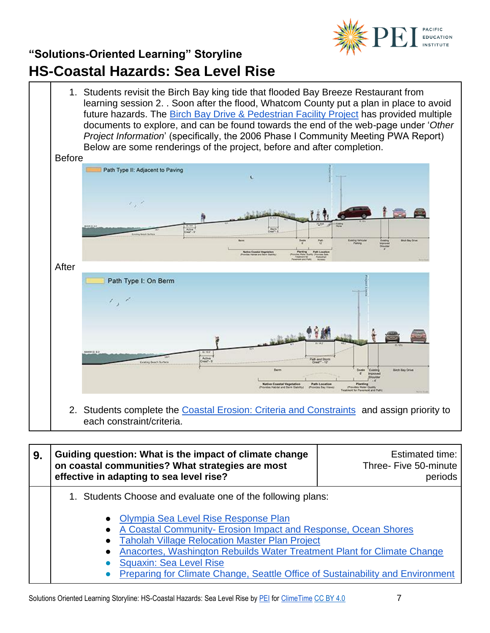



| 9. | Guiding question: What is the impact of climate change<br>on coastal communities? What strategies are most<br>effective in adapting to sea level rise?                                                                                                                                                                                                                                                                                                                            | Estimated time:<br>Three- Five 50-minute<br>periods |
|----|-----------------------------------------------------------------------------------------------------------------------------------------------------------------------------------------------------------------------------------------------------------------------------------------------------------------------------------------------------------------------------------------------------------------------------------------------------------------------------------|-----------------------------------------------------|
|    | 1. Students Choose and evaluate one of the following plans:<br>Olympia Sea Level Rise Response Plan<br>$\bullet$<br>A Coastal Community- Erosion Impact and Response, Ocean Shores<br>$\bullet$<br><b>Taholah Village Relocation Master Plan Project</b><br>$\bullet$<br>Anacortes, Washington Rebuilds Water Treatment Plant for Climate Change<br>$\bullet$<br><b>Squaxin: Sea Level Rise</b><br>Preparing for Climate Change, Seattle Office of Sustainability and Environment |                                                     |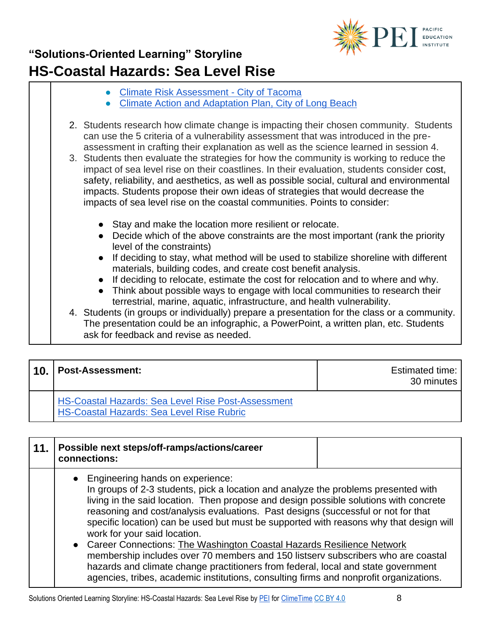

- [Climate Risk Assessment -](https://www.cityoftacoma.org/cms/one.aspx?portalId=169&pageId=114164) City of Tacoma
- [Climate Action and Adaptation Plan, City of Long Beach](http://www.longbeach.gov/lbds/planning/caap/)
- 2. Students research how climate change is impacting their chosen community. Students can use the 5 criteria of a vulnerability assessment that was introduced in the preassessment in crafting their explanation as well as the science learned in session 4.
- 3. Students then evaluate the strategies for how the community is working to reduce the impact of sea level rise on their coastlines. In their evaluation, students consider cost, safety, reliability, and aesthetics, as well as possible social, cultural and environmental impacts. Students propose their own ideas of strategies that would decrease the impacts of sea level rise on the coastal communities. Points to consider:
	- Stay and make the location more resilient or relocate.
	- Decide which of the above constraints are the most important (rank the priority level of the constraints)
	- If deciding to stay, what method will be used to stabilize shoreline with different materials, building codes, and create cost benefit analysis.
	- If deciding to relocate, estimate the cost for relocation and to where and why.
	- Think about possible ways to engage with local communities to research their terrestrial, marine, aquatic, infrastructure, and health vulnerability.
- 4. Students (in groups or individually) prepare a presentation for the class or a community. The presentation could be an infographic, a PowerPoint, a written plan, etc. Students ask for feedback and revise as needed.

| 110. | <b>Post-Assessment:</b>                                                                                       | <b>Estimated time:</b><br>30 minutes |
|------|---------------------------------------------------------------------------------------------------------------|--------------------------------------|
|      | <b>HS-Coastal Hazards: Sea Level Rise Post-Assessment</b><br><b>HS-Coastal Hazards: Sea Level Rise Rubric</b> |                                      |

| 11. | Possible next steps/off-ramps/actions/career<br>connections:                                                                                                                                                                                                                                                                                                                                                                                                                                                                                                                                                                                                                                                                                                                   |  |
|-----|--------------------------------------------------------------------------------------------------------------------------------------------------------------------------------------------------------------------------------------------------------------------------------------------------------------------------------------------------------------------------------------------------------------------------------------------------------------------------------------------------------------------------------------------------------------------------------------------------------------------------------------------------------------------------------------------------------------------------------------------------------------------------------|--|
|     | • Engineering hands on experience:<br>In groups of 2-3 students, pick a location and analyze the problems presented with<br>living in the said location. Then propose and design possible solutions with concrete<br>reasoning and cost/analysis evaluations. Past designs (successful or not for that<br>specific location) can be used but must be supported with reasons why that design will<br>work for your said location.<br>• Career Connections: The Washington Coastal Hazards Resilience Network<br>membership includes over 70 members and 150 listsery subscribers who are coastal<br>hazards and climate change practitioners from federal, local and state government<br>agencies, tribes, academic institutions, consulting firms and nonprofit organizations. |  |